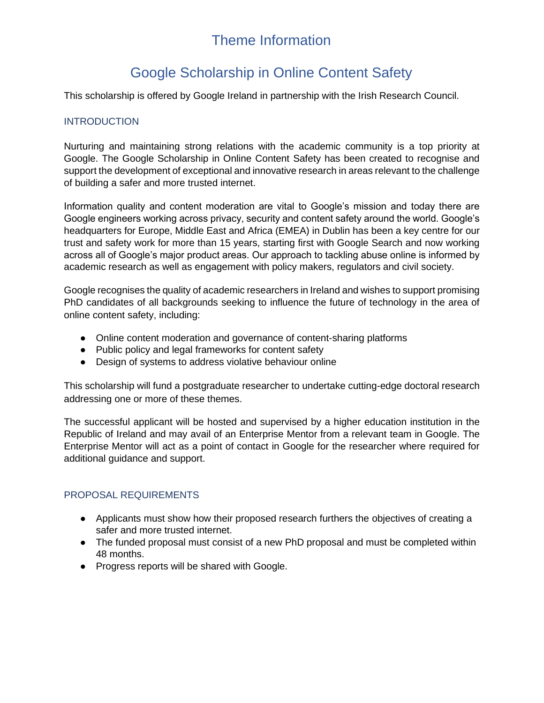# Theme Information

## Google Scholarship in Online Content Safety

This scholarship is offered by Google Ireland in partnership with the Irish Research Council.

### **INTRODUCTION**

Nurturing and maintaining strong relations with the academic community is a top priority at Google. The Google Scholarship in Online Content Safety has been created to recognise and support the development of exceptional and innovative research in areas relevant to the challenge of building a safer and more trusted internet.

Information quality and content moderation are vital to Google's mission and today there are Google engineers working across privacy, security and content safety around the world. Google's headquarters for Europe, Middle East and Africa (EMEA) in Dublin has been a key centre for our trust and safety work for more than 15 years, starting first with Google Search and now working across all of Google's major product areas. Our approach to tackling abuse online is informed by academic research as well as engagement with policy makers, regulators and civil society.

Google recognises the quality of academic researchers in Ireland and wishes to support promising PhD candidates of all backgrounds seeking to influence the future of technology in the area of online content safety, including:

- Online content moderation and governance of content-sharing platforms
- Public policy and legal frameworks for content safety
- Design of systems to address violative behaviour online

This scholarship will fund a postgraduate researcher to undertake cutting-edge doctoral research addressing one or more of these themes.

The successful applicant will be hosted and supervised by a higher education institution in the Republic of Ireland and may avail of an Enterprise Mentor from a relevant team in Google. The Enterprise Mentor will act as a point of contact in Google for the researcher where required for additional guidance and support.

#### PROPOSAL REQUIREMENTS

- Applicants must show how their proposed research furthers the objectives of creating a safer and more trusted internet.
- The funded proposal must consist of a new PhD proposal and must be completed within 48 months.
- Progress reports will be shared with Google.